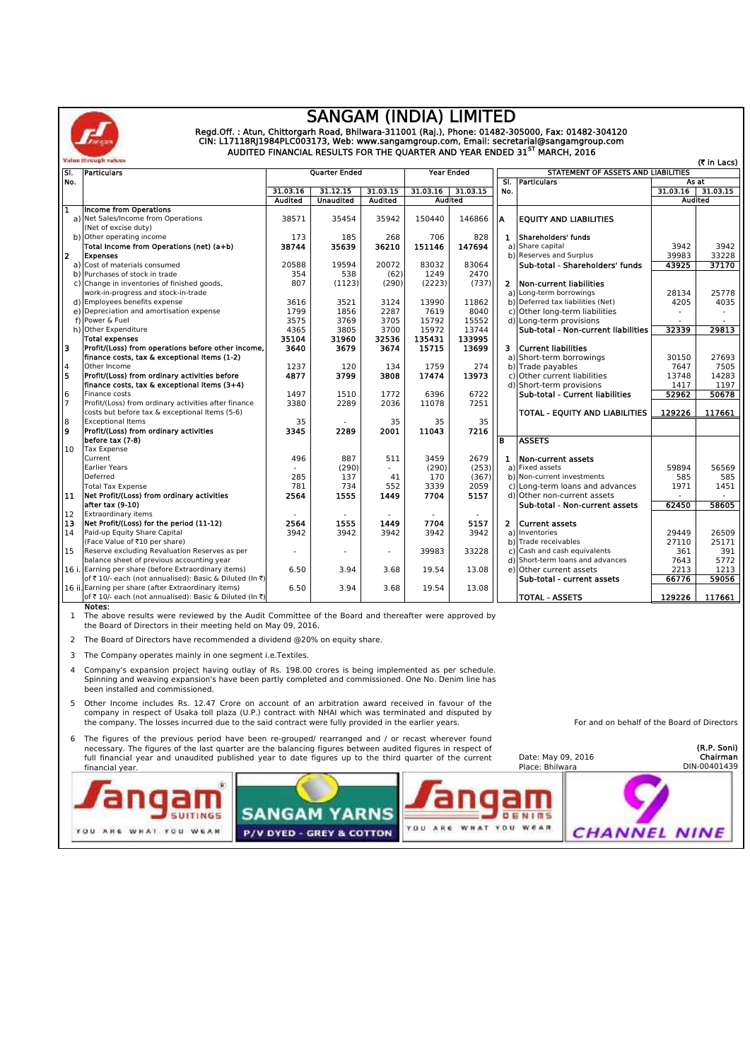

## **SANGAM (INDIA) LIMITED**

Regd.Off. : Atun, Chittorgarh Road, Bhilwara-311001 (Raj.), Phone: 01482-305000, Fax: 01482-304120<br>CIN: L17118RJ1984PLC003173, Web: www.sangamgroup.com, Email: secretarial@sangamgroup.com<br>AUDITED FINANCIAL RESULTS FOR THE

|               | Value Brough values                                     |                |                          |                     |                      |            |                |                                     |          | (₹ in Lacs) |  |
|---------------|---------------------------------------------------------|----------------|--------------------------|---------------------|----------------------|------------|----------------|-------------------------------------|----------|-------------|--|
| ISI.          | <b>Particulars</b>                                      |                | <b>Quarter Ended</b>     |                     |                      | Year Ended |                | STATEMENT OF ASSETS AND LIABILITIES |          |             |  |
| No.           |                                                         |                |                          |                     |                      |            | SI.            | <b>Particulars</b>                  | As at    |             |  |
|               |                                                         | 31.03.16       | 31.12.15                 | 31.03.15            | 31.03.15<br>31.03.16 |            | No.            |                                     | 31.03.16 | 31.03.15    |  |
|               |                                                         | <b>Audited</b> | <b>Unaudited</b>         | <b>Audited</b>      | <b>Audited</b>       |            |                |                                     | Audited  |             |  |
| π             | <b>Income from Operations</b>                           |                |                          |                     |                      |            |                |                                     |          |             |  |
|               | a) Net Sales/Income from Operations                     | 38571          | 35454                    | 35942               | 150440               | 146866     | A              | <b>EQUITY AND LIABILITIES</b>       |          |             |  |
|               | (Net of excise duty)                                    |                |                          |                     |                      |            |                |                                     |          |             |  |
|               | b) Other operating income                               | 173            | 185                      | 268                 | 706                  | 828        | $\mathbf{1}$   | Shareholders' funds                 |          |             |  |
|               | Total Income from Operations (net) (a+b)                | 38744          | 35639                    | 36210               | 151146               | 147694     | a)             | Share capital                       | 3942     | 3942        |  |
| 2             | <b>Expenses</b>                                         |                |                          |                     |                      |            |                | b) Reserves and Surplus             | 39983    | 33228       |  |
|               | a) Cost of materials consumed                           | 20588          | 19594                    | 20072               | 83032                | 83064      |                | Sub-total - Shareholders' funds     | 43925    | 37170       |  |
|               | b) Purchases of stock in trade                          | 354            | 538                      | (62)                | 1249                 | 2470       |                |                                     |          |             |  |
|               | c) Change in inventories of finished goods,             | 807            | (1123)                   | (290)               | (2223)               | (737)      | $\overline{2}$ | Non-current liabilities             |          |             |  |
|               | work-in-progress and stock-in-trade                     |                |                          |                     |                      |            |                | a) Long-term borrowings             | 28134    | 25778       |  |
|               | d) Employees benefits expense                           | 3616           | 3521                     | 3124                | 13990                | 11862      |                | b) Deferred tax liabilities (Net)   | 4205     | 4035        |  |
|               | e) Depreciation and amortisation expense                | 1799           | 1856                     | 2287                | 7619                 | 8040       |                | c) Other long-term liabilities      |          |             |  |
|               | f) Power & Fuel                                         | 3575           | 3769                     | 3705                | 15792                | 15552      |                | d) Long-term provisions             |          |             |  |
|               | h) Other Expenditure                                    | 4365           | 3805                     | 3700                | 15972                | 13744      |                | Sub-total - Non-current liabilities | 32339    | 29813       |  |
|               | <b>Total expenses</b>                                   | 35104          | 31960                    | 32536               | 135431               | 133995     |                |                                     |          |             |  |
| з             | Profit/(Loss) from operations before other income,      | 3640           | 3679                     | 3674                | 15715                | 13699      | з.             | <b>Current liabilities</b>          |          |             |  |
|               | finance costs, tax & exceptional Items (1-2)            |                |                          |                     |                      |            | a)             | Short-term borrowings               | 30150    | 27693       |  |
|               | Other Income                                            | 1237           | 120                      | 134                 | 1759                 | 274        |                | b) Trade payables                   | 7647     | 7505        |  |
| $\frac{4}{5}$ | Profit/(Loss) from ordinary activities before           | 4877           | 3799                     | 3808                | 17474                | 13973      | c)             | Other current liabilities           | 13748    | 14283       |  |
|               | finance costs, tax & exceptional Items (3+4)            |                |                          |                     |                      |            |                | d) Short-term provisions            | 1417     | 1197        |  |
| $\frac{6}{7}$ | Finance costs                                           | 1497           | 1510                     | 1772                | 6396                 | 6722       |                | Sub-total - Current liabilities     | 52962    | 50678       |  |
|               | Profit/(Loss) from ordinary activities after finance    | 3380           | 2289                     | 2036                | 11078                | 7251       |                |                                     |          |             |  |
|               | costs but before tax & exceptional Items (5-6)          |                |                          |                     |                      |            |                | TOTAL - EQUITY AND LIABILITIES      | 129226   | 117661      |  |
|               | <b>Exceptional Items</b>                                | 35             |                          | 35                  | 35                   | 35         |                |                                     |          |             |  |
| $\frac{8}{9}$ | Profit/(Loss) from ordinary activities                  | 3345           | 2289                     | 2001                | 11043                | 7216       |                |                                     |          |             |  |
|               | before tax (7-8)                                        |                |                          |                     |                      |            | в              | <b>ASSETS</b>                       |          |             |  |
| 10            | <b>Tax Expense</b>                                      |                |                          |                     |                      |            |                |                                     |          |             |  |
|               | Current                                                 | 496            | 887                      | 511                 | 3459                 | 2679       | 1              | Non-current assets                  |          |             |  |
|               | <b>Earlier Years</b>                                    |                | (290)                    | $\omega_{\rm{eff}}$ | (290)                | (253)      |                | a) Fixed assets                     | 59894    | 56569       |  |
|               | Deferred                                                | 285            | 137                      | 41                  | 170                  | (367)      |                | b) Non-current investments          | 585      | 585         |  |
|               | <b>Total Tax Expense</b>                                | 781            | 734                      | 552                 | 3339                 | 2059       |                | c) Long-term loans and advances     | 1971     | 1451        |  |
| 11            | Net Profit/(Loss) from ordinary activities              | 2564           | 1555                     | 1449                | 7704                 | 5157       |                | d) Other non-current assets         |          |             |  |
|               | after tax (9-10)                                        |                |                          |                     |                      |            |                | Sub-total - Non-current assets      | 62450    | 58605       |  |
| 12            | <b>Extraordinary items</b>                              |                |                          |                     |                      |            |                |                                     |          |             |  |
| 13            | Net Profit/(Loss) for the period (11-12)                | 2564           | 1555                     | 1449                | 7704                 | 5157       | $\mathbf{z}$   | <b>Current assets</b>               |          |             |  |
| 14            | Paid-up Equity Share Capital                            | 3942           | 3942                     | 3942                | 3942                 | 3942       |                | a) Inventories                      | 29449    | 26509       |  |
|               | (Face Value of ₹10 per share)                           |                |                          |                     |                      |            |                | b) Trade receivables                | 27110    | 25171       |  |
| 15            | Reserve excluding Revaluation Reserves as per           |                | $\overline{\phantom{a}}$ |                     | 39983                | 33228      | C)             | Cash and cash equivalents           | 361      | 391         |  |
|               | balance sheet of previous accounting year               |                |                          |                     |                      |            | d)             | Short-term loans and advances       | 7643     | 5772        |  |
|               | 16 i. Earning per share (before Extraordinary items)    | 6.50           | 3.94                     | 3.68                | 19.54                | 13.08      | e)             | Other current assets                | 2213     | 1213        |  |
|               | of ₹10/- each (not annualised): Basic & Diluted (In ₹)  |                |                          |                     |                      |            |                | Sub-total - current assets          | 66776    | 59056       |  |
|               | 16 ii. Earning per share (after Extraordinary items)    | 6.50           | 3.94                     | 3.68                | 19.54                | 13.08      |                |                                     |          |             |  |
|               | of ₹ 10/- each (not annualised): Basic & Diluted (In ₹) |                |                          |                     |                      |            |                | <b>TOTAL - ASSETS</b>               | 129226   | 117661      |  |
|               | Notes:                                                  |                |                          |                     |                      |            |                |                                     |          |             |  |

**Notes:** 1 The above results were reviewed by the Audit Committee of the Board and thereafter were approved by the Board of Directors in their meeting held on May 09, 2016.

2 The Board of Directors have recommended a dividend @20% on equity share.

3 The Company operates mainly in one segment i.e.Textiles.

4 Company's expansion project having outlay of Rs. 198.00 crores is being implemented as per schedule. Spinning and weaving expansion's have been partly completed and commissioned. One No. Denim line has been installed and commissioned.

- 5 Other Income includes Rs. 12.47 Crore on account of an arbitration award received in favour of the company in respect of Usaka toll plaza (U.P.) contract with NHAI which was terminated and disputed by the company. The losses incurred due to the said contract were fully provided in the earlier years.
- 6 The figures of the previous period have been re-grouped/ rearranged and / or recast wherever found necessary. The figures of the last quarter are the balancing figures between audited figures in respect of<br>full financial year and unaudited published year to date figures up to the third quarter of the current financial year.

| financial year.                                  | Tuil imancial year and unaudited published year to date hydres up to the third quarter or the current |               | Date. May 05, 2010<br>Place: Bhilwara | -----------<br>DIN-00401439 |
|--------------------------------------------------|-------------------------------------------------------------------------------------------------------|---------------|---------------------------------------|-----------------------------|
|                                                  | <b>ANGAM YARNS</b>                                                                                    |               |                                       |                             |
| WEAR<br>WHAT<br><b>YOU</b><br><b>YOU</b><br>ARE. | P/V DYED - GREY & COTTON                                                                              | YDU.<br>Y O U | WEAR<br><b>CHANNEL NINE</b>           |                             |

For and on behalf of the Board of Directors

**(R.P. Soni)**

**Chairman**

Date: May 09, 2016